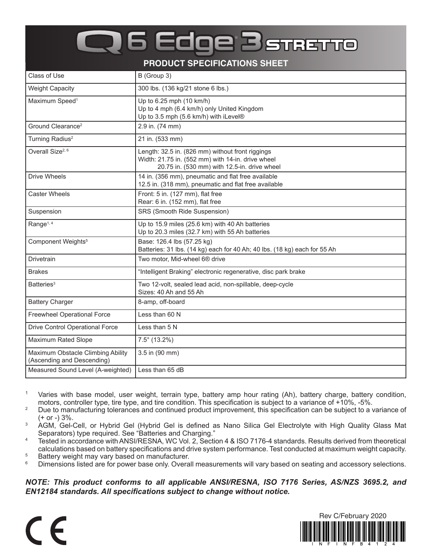## **6 Edge BSTRETTO**

**PRODUCT SPECIFICATIONS SHEET**

| Class of Use                                                    | B (Group 3)                                                                                                                                           |
|-----------------------------------------------------------------|-------------------------------------------------------------------------------------------------------------------------------------------------------|
| <b>Weight Capacity</b>                                          | 300 lbs. (136 kg/21 stone 6 lbs.)                                                                                                                     |
| Maximum Speed <sup>1</sup>                                      | Up to 6.25 mph (10 km/h)<br>Up to 4 mph (6.4 km/h) only United Kingdom<br>Up to 3.5 mph (5.6 km/h) with iLevel®                                       |
| Ground Clearance <sup>2</sup>                                   | 2.9 in. (74 mm)                                                                                                                                       |
| Turning Radius <sup>2</sup>                                     | 21 in. (533 mm)                                                                                                                                       |
| Overall Size <sup>2, 6</sup>                                    | Length: 32.5 in. (826 mm) without front riggings<br>Width: 21.75 in. (552 mm) with 14-in. drive wheel<br>20.75 in. (530 mm) with 12.5-in. drive wheel |
| <b>Drive Wheels</b>                                             | 14 in. (356 mm), pneumatic and flat free available<br>12.5 in. (318 mm), pneumatic and flat free available                                            |
| <b>Caster Wheels</b>                                            | Front: 5 in. (127 mm), flat free<br>Rear: 6 in. (152 mm), flat free                                                                                   |
| Suspension                                                      | SRS (Smooth Ride Suspension)                                                                                                                          |
| Range <sup>1, 4</sup>                                           | Up to 15.9 miles (25.6 km) with 40 Ah batteries<br>Up to 20.3 miles (32.7 km) with 55 Ah batteries                                                    |
| Component Weights <sup>5</sup>                                  | Base: 126.4 lbs (57.25 kg)<br>Batteries: 31 lbs. (14 kg) each for 40 Ah; 40 lbs. (18 kg) each for 55 Ah                                               |
| Drivetrain                                                      | Two motor, Mid-wheel 6 <sup>®</sup> drive                                                                                                             |
| <b>Brakes</b>                                                   | "Intelligent Braking" electronic regenerative, disc park brake                                                                                        |
| Batteries <sup>3</sup>                                          | Two 12-volt, sealed lead acid, non-spillable, deep-cycle<br>Sizes: 40 Ah and 55 Ah                                                                    |
| <b>Battery Charger</b>                                          | 8-amp, off-board                                                                                                                                      |
| <b>Freewheel Operational Force</b>                              | Less than 60 N                                                                                                                                        |
| <b>Drive Control Operational Force</b>                          | Less than 5 N                                                                                                                                         |
| Maximum Rated Slope                                             | $7.5^{\circ}$ (13.2%)                                                                                                                                 |
| Maximum Obstacle Climbing Ability<br>(Ascending and Descending) | 3.5 in (90 mm)                                                                                                                                        |
| Measured Sound Level (A-weighted)                               | Less than 65 dB                                                                                                                                       |

<sup>1</sup> Varies with base model, user weight, terrain type, battery amp hour rating (Ah), battery charge, battery condition, motors, controller type, tire type, and tire condition. This specification is subject to a variance of +10%, -5%.

- <sup>2</sup> Due to manufacturing tolerances and continued product improvement, this specification can be subject to a variance of (+ or -) 3%.
- <sup>3</sup> AGM, Gel-Cell, or Hybrid Gel (Hybrid Gel is defined as Nano Silica Gel Electrolyte with High Quality Glass Mat Separators) type required. See "Batteries and Charging."
- <sup>4</sup> Tested in accordance with ANSI/RESNA, WC Vol. 2, Section 4 & ISO 7176-4 standards. Results derived from theoretical calculations based on battery specifications and drive system performance. Test conducted at maximum weight capacity.
- $5$  Battery weight may vary based on manufacturer.<br> $6$  Dimensions listed are for nower base only Overa
- Dimensions listed are for power base only. Overall measurements will vary based on seating and accessory selections.

## *NOTE: This product conforms to all applicable ANSI/RESNA, ISO 7176 Series, AS/NZS 3695.2, and EN12184 standards. All specifications subject to change without notice.*